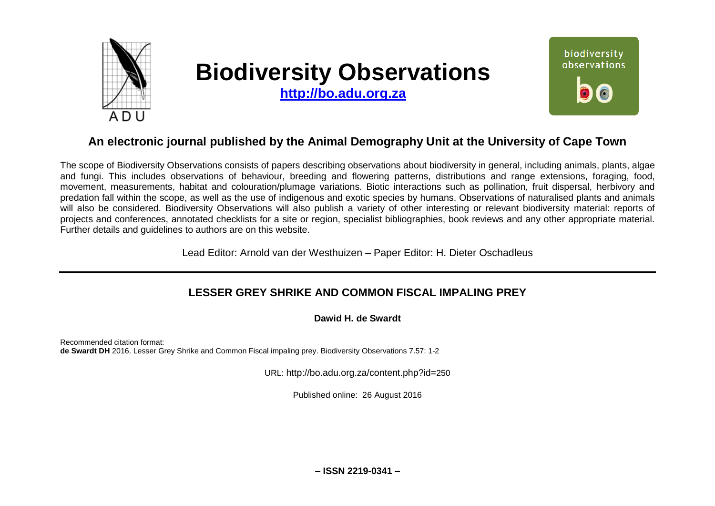

# **Biodiversity Observations**

**[http://bo.adu.org.za](http://bo.adu.org.za/)**



# **An electronic journal published by the Animal Demography Unit at the University of Cape Town**

The scope of Biodiversity Observations consists of papers describing observations about biodiversity in general, including animals, plants, algae and fungi. This includes observations of behaviour, breeding and flowering patterns, distributions and range extensions, foraging, food, movement, measurements, habitat and colouration/plumage variations. Biotic interactions such as pollination, fruit dispersal, herbivory and predation fall within the scope, as well as the use of indigenous and exotic species by humans. Observations of naturalised plants and animals will also be considered. Biodiversity Observations will also publish a variety of other interesting or relevant biodiversity material: reports of projects and conferences, annotated checklists for a site or region, specialist bibliographies, book reviews and any other appropriate material. Further details and guidelines to authors are on this website.

Lead Editor: Arnold van der Westhuizen – Paper Editor: H. Dieter Oschadleus

## **LESSER GREY SHRIKE AND COMMON FISCAL IMPALING PREY**

**Dawid H. de Swardt**

Recommended citation format: **de Swardt DH** 2016. Lesser Grey Shrike and Common Fiscal impaling prey. Biodiversity Observations 7.57: 1-2

URL: http://bo.adu.org.za/content.php?id=250

Published online: 26 August 2016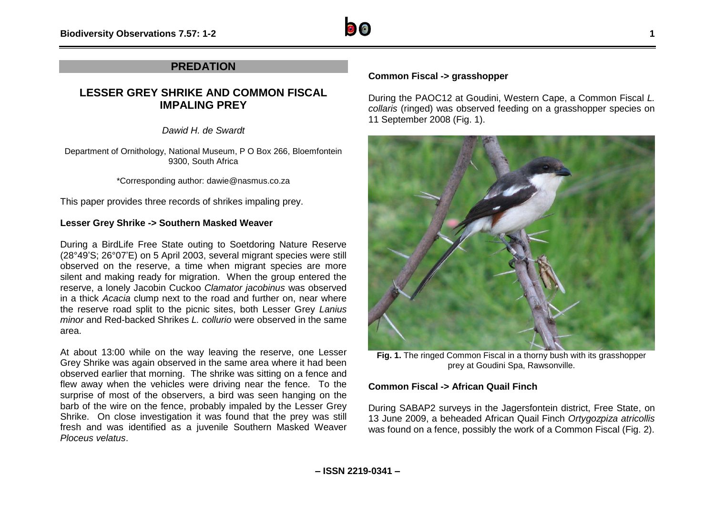

### **PREDATION**

## **LESSER GREY SHRIKE AND COMMON FISCAL IMPALING PREY**

*Dawid H. de Swardt*

Department of Ornithology, National Museum, P O Box 266, Bloemfontein 9300, South Africa

\*Corresponding author: dawie@nasmus.co.za

This paper provides three records of shrikes impaling prey.

#### **Lesser Grey Shrike -> Southern Masked Weaver**

During a BirdLife Free State outing to Soetdoring Nature Reserve (28°49'S; 26°07'E) on 5 April 2003, several migrant species were still observed on the reserve, a time when migrant species are more silent and making ready for migration. When the group entered the reserve, a lonely Jacobin Cuckoo *Clamator jacobinus* was observed in a thick *Acacia* clump next to the road and further on, near where the reserve road split to the picnic sites, both Lesser Grey *Lanius minor* and Red-backed Shrikes *L. collurio* were observed in the same area.

At about 13:00 while on the way leaving the reserve, one Lesser Grey Shrike was again observed in the same area where it had been observed earlier that morning. The shrike was sitting on a fence and flew away when the vehicles were driving near the fence. To the surprise of most of the observers, a bird was seen hanging on the barb of the wire on the fence, probably impaled by the Lesser Grey Shrike. On close investigation it was found that the prey was still fresh and was identified as a juvenile Southern Masked Weaver *Ploceus velatus*.

#### **Common Fiscal -> grasshopper**

During the PAOC12 at Goudini, Western Cape, a Common Fiscal *L. collaris* (ringed) was observed feeding on a grasshopper species on 11 September 2008 (Fig. 1).



**Fig. 1.** The ringed Common Fiscal in a thorny bush with its grasshopper prey at Goudini Spa, Rawsonville.

#### **Common Fiscal -> African Quail Finch**

During SABAP2 surveys in the Jagersfontein district, Free State, on 13 June 2009, a beheaded African Quail Finch *Ortygozpiza atricollis* was found on a fence, possibly the work of a Common Fiscal (Fig. 2).